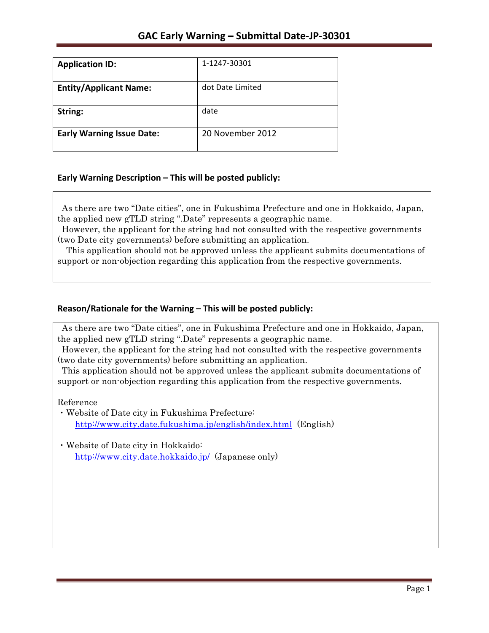| <b>Application ID:</b>           | 1-1247-30301     |
|----------------------------------|------------------|
| <b>Entity/Applicant Name:</b>    | dot Date Limited |
| String:                          | date             |
| <b>Early Warning Issue Date:</b> | 20 November 2012 |

### **Early Warning Description – This will be posted publicly:**

As there are two "Date cities", one in Fukushima Prefecture and one in Hokkaido, Japan, the applied new gTLD string ".Date" represents a geographic name.

However, the applicant for the string had not consulted with the respective governments (two Date city governments) before submitting an application.

This application should not be approved unless the applicant submits documentations of support or non-objection regarding this application from the respective governments.

## **Reason/Rationale for the Warning – This will be posted publicly:**

As there are two "Date cities", one in Fukushima Prefecture and one in Hokkaido, Japan, the applied new gTLD string ".Date" represents a geographic name.

However, the applicant for the string had not consulted with the respective governments (two date city governments) before submitting an application.

This application should not be approved unless the applicant submits documentations of support or non-objection regarding this application from the respective governments.

Reference

- ・Website of Date city in Fukushima Prefecture: http://www.city.date.fukushima.jp/english/index.html (English)
- ・Website of Date city in Hokkaido: http://www.city.date.hokkaido.jp/ (Japanese only)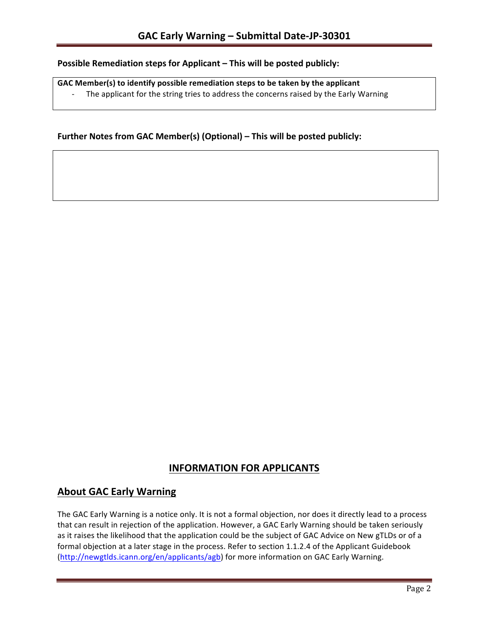### **Possible Remediation steps for Applicant – This will be posted publicly:**

### GAC Member(s) to identify possible remediation steps to be taken by the applicant

- The applicant for the string tries to address the concerns raised by the Early Warning

### **Further Notes from GAC Member(s) (Optional) – This will be posted publicly:**

## **INFORMATION FOR APPLICANTS**

## **About GAC Early Warning**

The GAC Early Warning is a notice only. It is not a formal objection, nor does it directly lead to a process that can result in rejection of the application. However, a GAC Early Warning should be taken seriously as it raises the likelihood that the application could be the subject of GAC Advice on New gTLDs or of a formal objection at a later stage in the process. Refer to section 1.1.2.4 of the Applicant Guidebook (http://newgtlds.icann.org/en/applicants/agb) for more information on GAC Early Warning.